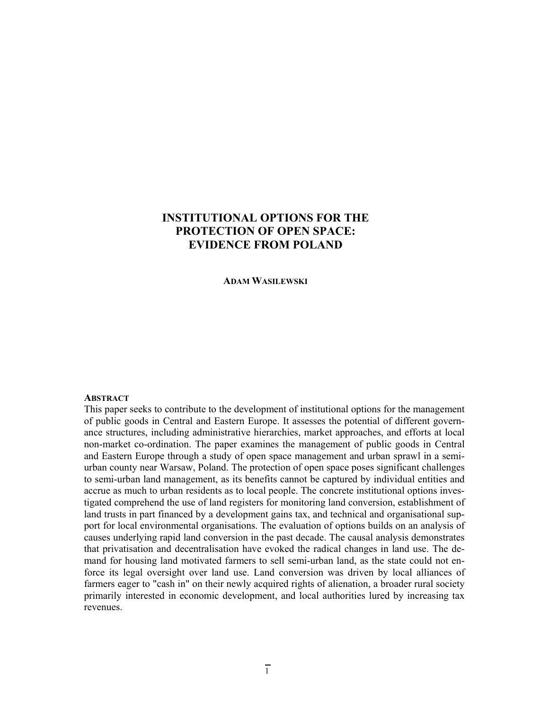# **INSTITUTIONAL OPTIONS FOR THE PROTECTION OF OPEN SPACE: EVIDENCE FROM POLAND**

**ADAM WASILEWSKI**

#### **ABSTRACT**

This paper seeks to contribute to the development of institutional options for the management of public goods in Central and Eastern Europe. It assesses the potential of different governance structures, including administrative hierarchies, market approaches, and efforts at local non-market co-ordination. The paper examines the management of public goods in Central and Eastern Europe through a study of open space management and urban sprawl in a semiurban county near Warsaw, Poland. The protection of open space poses significant challenges to semi-urban land management, as its benefits cannot be captured by individual entities and accrue as much to urban residents as to local people. The concrete institutional options investigated comprehend the use of land registers for monitoring land conversion, establishment of land trusts in part financed by a development gains tax, and technical and organisational support for local environmental organisations. The evaluation of options builds on an analysis of causes underlying rapid land conversion in the past decade. The causal analysis demonstrates that privatisation and decentralisation have evoked the radical changes in land use. The demand for housing land motivated farmers to sell semi-urban land, as the state could not enforce its legal oversight over land use. Land conversion was driven by local alliances of farmers eager to "cash in" on their newly acquired rights of alienation, a broader rural society primarily interested in economic development, and local authorities lured by increasing tax revenues.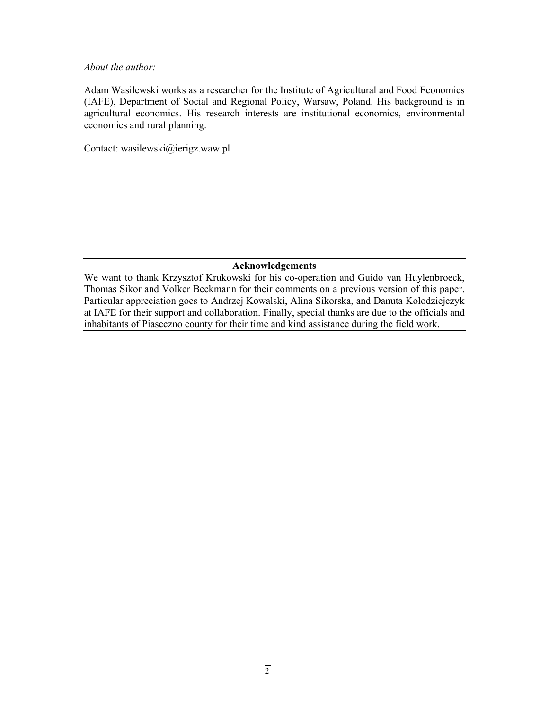#### *About the author:*

Adam Wasilewski works as a researcher for the Institute of Agricultural and Food Economics (IAFE), Department of Social and Regional Policy, Warsaw, Poland. His background is in agricultural economics. His research interests are institutional economics, environmental economics and rural planning.

Contact: wasilewski@ierigz.waw.pl

# **Acknowledgements**

We want to thank Krzysztof Krukowski for his co-operation and Guido van Huylenbroeck, Thomas Sikor and Volker Beckmann for their comments on a previous version of this paper. Particular appreciation goes to Andrzej Kowalski, Alina Sikorska, and Danuta Kolodziejczyk at IAFE for their support and collaboration. Finally, special thanks are due to the officials and inhabitants of Piaseczno county for their time and kind assistance during the field work.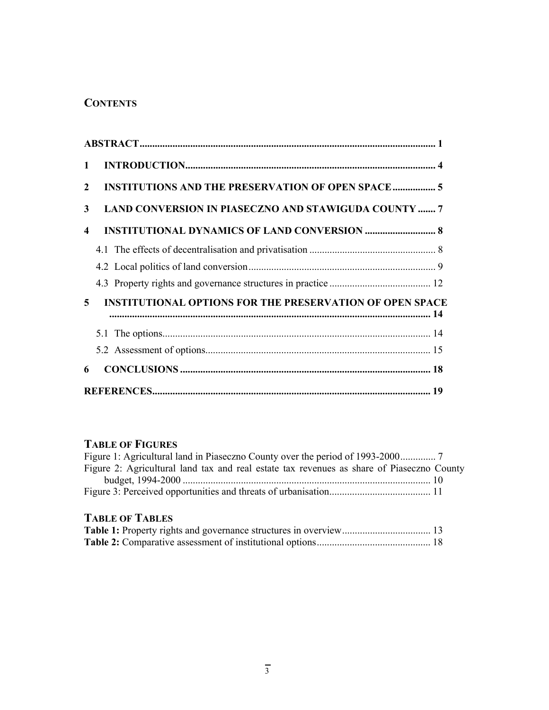# **CONTENTS**

| $\mathbf 1$             |                                                                 |  |
|-------------------------|-----------------------------------------------------------------|--|
| $\mathbf{2}$            | <b>INSTITUTIONS AND THE PRESERVATION OF OPEN SPACE  5</b>       |  |
| 3                       | <b>LAND CONVERSION IN PIASECZNO AND STAWIGUDA COUNTY  7</b>     |  |
| $\overline{\mathbf{4}}$ |                                                                 |  |
|                         |                                                                 |  |
|                         |                                                                 |  |
|                         |                                                                 |  |
| 5.                      | <b>INSTITUTIONAL OPTIONS FOR THE PRESERVATION OF OPEN SPACE</b> |  |
|                         |                                                                 |  |
|                         |                                                                 |  |
| 6                       |                                                                 |  |
|                         |                                                                 |  |

# **TABLE OF FIGURES**

| Figure 2: Agricultural land tax and real estate tax revenues as share of Piaseczno County |  |
|-------------------------------------------------------------------------------------------|--|
|                                                                                           |  |
|                                                                                           |  |

# **TABLE OF TABLES**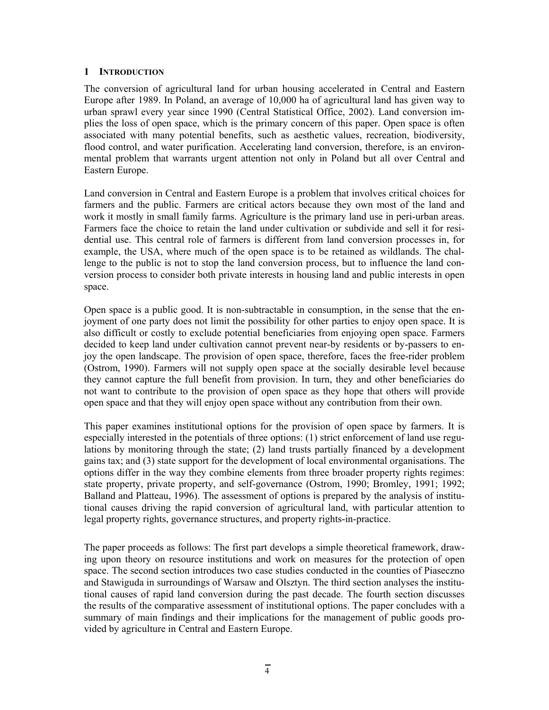# **1 INTRODUCTION**

The conversion of agricultural land for urban housing accelerated in Central and Eastern Europe after 1989. In Poland, an average of 10,000 ha of agricultural land has given way to urban sprawl every year since 1990 (Central Statistical Office, 2002). Land conversion implies the loss of open space, which is the primary concern of this paper. Open space is often associated with many potential benefits, such as aesthetic values, recreation, biodiversity, flood control, and water purification. Accelerating land conversion, therefore, is an environmental problem that warrants urgent attention not only in Poland but all over Central and Eastern Europe.

Land conversion in Central and Eastern Europe is a problem that involves critical choices for farmers and the public. Farmers are critical actors because they own most of the land and work it mostly in small family farms. Agriculture is the primary land use in peri-urban areas. Farmers face the choice to retain the land under cultivation or subdivide and sell it for residential use. This central role of farmers is different from land conversion processes in, for example, the USA, where much of the open space is to be retained as wildlands. The challenge to the public is not to stop the land conversion process, but to influence the land conversion process to consider both private interests in housing land and public interests in open space.

Open space is a public good. It is non-subtractable in consumption, in the sense that the enjoyment of one party does not limit the possibility for other parties to enjoy open space. It is also difficult or costly to exclude potential beneficiaries from enjoying open space. Farmers decided to keep land under cultivation cannot prevent near-by residents or by-passers to enjoy the open landscape. The provision of open space, therefore, faces the free-rider problem (Ostrom, 1990). Farmers will not supply open space at the socially desirable level because they cannot capture the full benefit from provision. In turn, they and other beneficiaries do not want to contribute to the provision of open space as they hope that others will provide open space and that they will enjoy open space without any contribution from their own.

This paper examines institutional options for the provision of open space by farmers. It is especially interested in the potentials of three options: (1) strict enforcement of land use regulations by monitoring through the state; (2) land trusts partially financed by a development gains tax; and (3) state support for the development of local environmental organisations. The options differ in the way they combine elements from three broader property rights regimes: state property, private property, and self-governance (Ostrom, 1990; Bromley, 1991; 1992; Balland and Platteau, 1996). The assessment of options is prepared by the analysis of institutional causes driving the rapid conversion of agricultural land, with particular attention to legal property rights, governance structures, and property rights-in-practice.

The paper proceeds as follows: The first part develops a simple theoretical framework, drawing upon theory on resource institutions and work on measures for the protection of open space. The second section introduces two case studies conducted in the counties of Piaseczno and Stawiguda in surroundings of Warsaw and Olsztyn. The third section analyses the institutional causes of rapid land conversion during the past decade. The fourth section discusses the results of the comparative assessment of institutional options. The paper concludes with a summary of main findings and their implications for the management of public goods provided by agriculture in Central and Eastern Europe.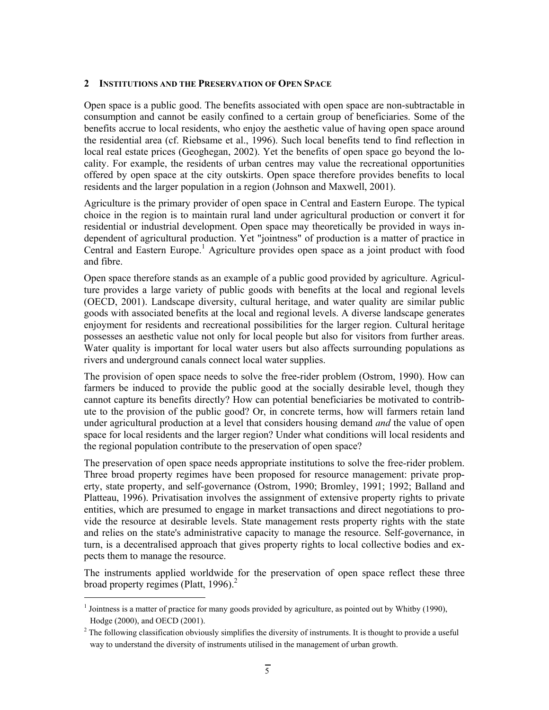#### **2 INSTITUTIONS AND THE PRESERVATION OF OPEN SPACE**

Open space is a public good. The benefits associated with open space are non-subtractable in consumption and cannot be easily confined to a certain group of beneficiaries. Some of the benefits accrue to local residents, who enjoy the aesthetic value of having open space around the residential area (cf. Riebsame et al., 1996). Such local benefits tend to find reflection in local real estate prices (Geoghegan, 2002). Yet the benefits of open space go beyond the locality. For example, the residents of urban centres may value the recreational opportunities offered by open space at the city outskirts. Open space therefore provides benefits to local residents and the larger population in a region (Johnson and Maxwell, 2001).

Agriculture is the primary provider of open space in Central and Eastern Europe. The typical choice in the region is to maintain rural land under agricultural production or convert it for residential or industrial development. Open space may theoretically be provided in ways independent of agricultural production. Yet "jointness" of production is a matter of practice in Central and Eastern Europe.<sup>1</sup> Agriculture provides open space as a joint product with food and fibre.

Open space therefore stands as an example of a public good provided by agriculture. Agriculture provides a large variety of public goods with benefits at the local and regional levels (OECD, 2001). Landscape diversity, cultural heritage, and water quality are similar public goods with associated benefits at the local and regional levels. A diverse landscape generates enjoyment for residents and recreational possibilities for the larger region. Cultural heritage possesses an aesthetic value not only for local people but also for visitors from further areas. Water quality is important for local water users but also affects surrounding populations as rivers and underground canals connect local water supplies.

The provision of open space needs to solve the free-rider problem (Ostrom, 1990). How can farmers be induced to provide the public good at the socially desirable level, though they cannot capture its benefits directly? How can potential beneficiaries be motivated to contribute to the provision of the public good? Or, in concrete terms, how will farmers retain land under agricultural production at a level that considers housing demand *and* the value of open space for local residents and the larger region? Under what conditions will local residents and the regional population contribute to the preservation of open space?

The preservation of open space needs appropriate institutions to solve the free-rider problem. Three broad property regimes have been proposed for resource management: private property, state property, and self-governance (Ostrom, 1990; Bromley, 1991; 1992; Balland and Platteau, 1996). Privatisation involves the assignment of extensive property rights to private entities, which are presumed to engage in market transactions and direct negotiations to provide the resource at desirable levels. State management rests property rights with the state and relies on the state's administrative capacity to manage the resource. Self-governance, in turn, is a decentralised approach that gives property rights to local collective bodies and expects them to manage the resource.

The instruments applied worldwide for the preservation of open space reflect these three broad property regimes (Platt, 1996).<sup>2</sup>

-

<sup>&</sup>lt;sup>1</sup> Jointness is a matter of practice for many goods provided by agriculture, as pointed out by Whitby (1990), Hodge (2000), and OECD (2001).

 $2^2$  The following classification obviously simplifies the diversity of instruments. It is thought to provide a useful way to understand the diversity of instruments utilised in the management of urban growth.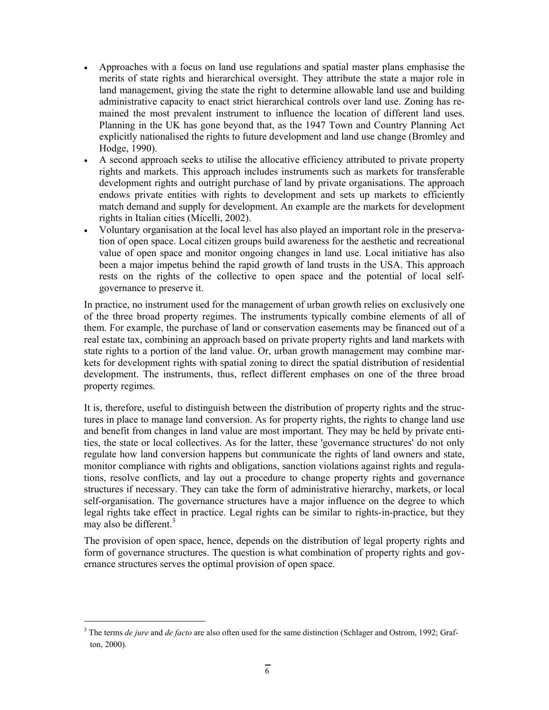- Approaches with a focus on land use regulations and spatial master plans emphasise the merits of state rights and hierarchical oversight. They attribute the state a major role in land management, giving the state the right to determine allowable land use and building administrative capacity to enact strict hierarchical controls over land use. Zoning has remained the most prevalent instrument to influence the location of different land uses. Planning in the UK has gone beyond that, as the 1947 Town and Country Planning Act explicitly nationalised the rights to future development and land use change (Bromley and Hodge, 1990).
- A second approach seeks to utilise the allocative efficiency attributed to private property rights and markets. This approach includes instruments such as markets for transferable development rights and outright purchase of land by private organisations. The approach endows private entities with rights to development and sets up markets to efficiently match demand and supply for development. An example are the markets for development rights in Italian cities (Micelli, 2002).
- Voluntary organisation at the local level has also played an important role in the preservation of open space. Local citizen groups build awareness for the aesthetic and recreational value of open space and monitor ongoing changes in land use. Local initiative has also been a major impetus behind the rapid growth of land trusts in the USA. This approach rests on the rights of the collective to open space and the potential of local selfgovernance to preserve it.

In practice, no instrument used for the management of urban growth relies on exclusively one of the three broad property regimes. The instruments typically combine elements of all of them. For example, the purchase of land or conservation easements may be financed out of a real estate tax, combining an approach based on private property rights and land markets with state rights to a portion of the land value. Or, urban growth management may combine markets for development rights with spatial zoning to direct the spatial distribution of residential development. The instruments, thus, reflect different emphases on one of the three broad property regimes.

It is, therefore, useful to distinguish between the distribution of property rights and the structures in place to manage land conversion. As for property rights, the rights to change land use and benefit from changes in land value are most important. They may be held by private entities, the state or local collectives. As for the latter, these 'governance structures' do not only regulate how land conversion happens but communicate the rights of land owners and state, monitor compliance with rights and obligations, sanction violations against rights and regulations, resolve conflicts, and lay out a procedure to change property rights and governance structures if necessary. They can take the form of administrative hierarchy, markets, or local self-organisation. The governance structures have a major influence on the degree to which legal rights take effect in practice. Legal rights can be similar to rights-in-practice, but they may also be different. $3$ 

The provision of open space, hence, depends on the distribution of legal property rights and form of governance structures. The question is what combination of property rights and governance structures serves the optimal provision of open space.

-

<sup>&</sup>lt;sup>3</sup> The terms *de jure* and *de facto* are also often used for the same distinction (Schlager and Ostrom, 1992; Grafton, 2000).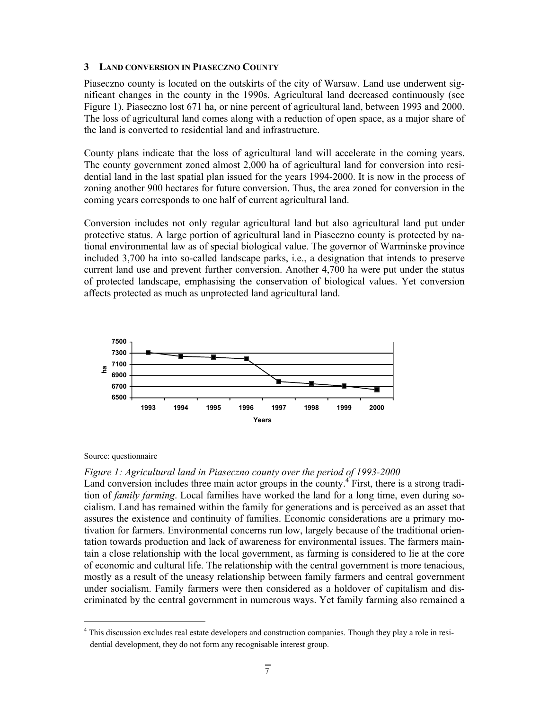#### **3 LAND CONVERSION IN PIASECZNO COUNTY**

Piaseczno county is located on the outskirts of the city of Warsaw. Land use underwent significant changes in the county in the 1990s. Agricultural land decreased continuously (see Figure 1). Piaseczno lost 671 ha, or nine percent of agricultural land, between 1993 and 2000. The loss of agricultural land comes along with a reduction of open space, as a major share of the land is converted to residential land and infrastructure.

County plans indicate that the loss of agricultural land will accelerate in the coming years. The county government zoned almost 2,000 ha of agricultural land for conversion into residential land in the last spatial plan issued for the years 1994-2000. It is now in the process of zoning another 900 hectares for future conversion. Thus, the area zoned for conversion in the coming years corresponds to one half of current agricultural land.

Conversion includes not only regular agricultural land but also agricultural land put under protective status. A large portion of agricultural land in Piaseczno county is protected by national environmental law as of special biological value. The governor of Warminske province included 3,700 ha into so-called landscape parks, i.e., a designation that intends to preserve current land use and prevent further conversion. Another 4,700 ha were put under the status of protected landscape, emphasising the conservation of biological values. Yet conversion affects protected as much as unprotected land agricultural land.



Source: questionnaire

-

#### *Figure 1: Agricultural land in Piaseczno county over the period of 1993-2000*

Land conversion includes three main actor groups in the county.<sup>4</sup> First, there is a strong tradition of *family farming*. Local families have worked the land for a long time, even during socialism. Land has remained within the family for generations and is perceived as an asset that assures the existence and continuity of families. Economic considerations are a primary motivation for farmers. Environmental concerns run low, largely because of the traditional orientation towards production and lack of awareness for environmental issues. The farmers maintain a close relationship with the local government, as farming is considered to lie at the core of economic and cultural life. The relationship with the central government is more tenacious, mostly as a result of the uneasy relationship between family farmers and central government under socialism. Family farmers were then considered as a holdover of capitalism and discriminated by the central government in numerous ways. Yet family farming also remained a

<sup>&</sup>lt;sup>4</sup> This discussion excludes real estate developers and construction companies. Though they play a role in residential development, they do not form any recognisable interest group.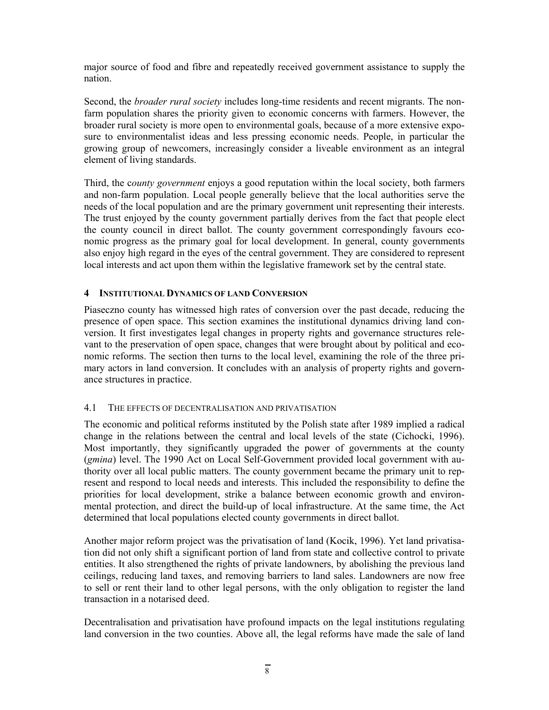major source of food and fibre and repeatedly received government assistance to supply the nation.

Second, the *broader rural society* includes long-time residents and recent migrants. The nonfarm population shares the priority given to economic concerns with farmers. However, the broader rural society is more open to environmental goals, because of a more extensive exposure to environmentalist ideas and less pressing economic needs. People, in particular the growing group of newcomers, increasingly consider a liveable environment as an integral element of living standards.

Third, the c*ounty government* enjoys a good reputation within the local society, both farmers and non-farm population. Local people generally believe that the local authorities serve the needs of the local population and are the primary government unit representing their interests. The trust enjoyed by the county government partially derives from the fact that people elect the county council in direct ballot. The county government correspondingly favours economic progress as the primary goal for local development. In general, county governments also enjoy high regard in the eyes of the central government. They are considered to represent local interests and act upon them within the legislative framework set by the central state.

# **4 INSTITUTIONAL DYNAMICS OF LAND CONVERSION**

Piaseczno county has witnessed high rates of conversion over the past decade, reducing the presence of open space. This section examines the institutional dynamics driving land conversion. It first investigates legal changes in property rights and governance structures relevant to the preservation of open space, changes that were brought about by political and economic reforms. The section then turns to the local level, examining the role of the three primary actors in land conversion. It concludes with an analysis of property rights and governance structures in practice.

#### 4.1 THE EFFECTS OF DECENTRALISATION AND PRIVATISATION

The economic and political reforms instituted by the Polish state after 1989 implied a radical change in the relations between the central and local levels of the state (Cichocki, 1996). Most importantly, they significantly upgraded the power of governments at the county (*gmina*) level. The 1990 Act on Local Self-Government provided local government with authority over all local public matters. The county government became the primary unit to represent and respond to local needs and interests. This included the responsibility to define the priorities for local development, strike a balance between economic growth and environmental protection, and direct the build-up of local infrastructure. At the same time, the Act determined that local populations elected county governments in direct ballot.

Another major reform project was the privatisation of land (Kocik, 1996). Yet land privatisation did not only shift a significant portion of land from state and collective control to private entities. It also strengthened the rights of private landowners, by abolishing the previous land ceilings, reducing land taxes, and removing barriers to land sales. Landowners are now free to sell or rent their land to other legal persons, with the only obligation to register the land transaction in a notarised deed.

Decentralisation and privatisation have profound impacts on the legal institutions regulating land conversion in the two counties. Above all, the legal reforms have made the sale of land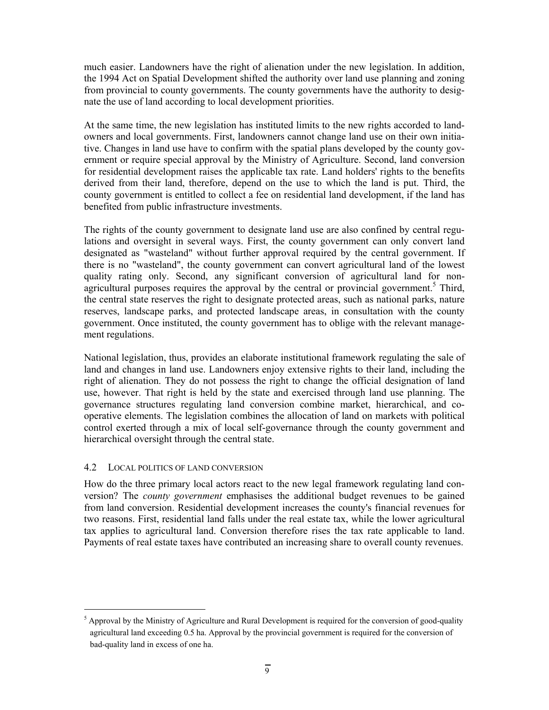much easier. Landowners have the right of alienation under the new legislation. In addition, the 1994 Act on Spatial Development shifted the authority over land use planning and zoning from provincial to county governments. The county governments have the authority to designate the use of land according to local development priorities.

At the same time, the new legislation has instituted limits to the new rights accorded to landowners and local governments. First, landowners cannot change land use on their own initiative. Changes in land use have to confirm with the spatial plans developed by the county government or require special approval by the Ministry of Agriculture. Second, land conversion for residential development raises the applicable tax rate. Land holders' rights to the benefits derived from their land, therefore, depend on the use to which the land is put. Third, the county government is entitled to collect a fee on residential land development, if the land has benefited from public infrastructure investments.

The rights of the county government to designate land use are also confined by central regulations and oversight in several ways. First, the county government can only convert land designated as "wasteland" without further approval required by the central government. If there is no "wasteland", the county government can convert agricultural land of the lowest quality rating only. Second, any significant conversion of agricultural land for nonagricultural purposes requires the approval by the central or provincial government.<sup>5</sup> Third, the central state reserves the right to designate protected areas, such as national parks, nature reserves, landscape parks, and protected landscape areas, in consultation with the county government. Once instituted, the county government has to oblige with the relevant management regulations.

National legislation, thus, provides an elaborate institutional framework regulating the sale of land and changes in land use. Landowners enjoy extensive rights to their land, including the right of alienation. They do not possess the right to change the official designation of land use, however. That right is held by the state and exercised through land use planning. The governance structures regulating land conversion combine market, hierarchical, and cooperative elements. The legislation combines the allocation of land on markets with political control exerted through a mix of local self-governance through the county government and hierarchical oversight through the central state.

#### 4.2 LOCAL POLITICS OF LAND CONVERSION

-

How do the three primary local actors react to the new legal framework regulating land conversion? The *county government* emphasises the additional budget revenues to be gained from land conversion. Residential development increases the county's financial revenues for two reasons. First, residential land falls under the real estate tax, while the lower agricultural tax applies to agricultural land. Conversion therefore rises the tax rate applicable to land. Payments of real estate taxes have contributed an increasing share to overall county revenues.

 $<sup>5</sup>$  Approval by the Ministry of Agriculture and Rural Development is required for the conversion of good-quality</sup> agricultural land exceeding 0.5 ha. Approval by the provincial government is required for the conversion of bad-quality land in excess of one ha.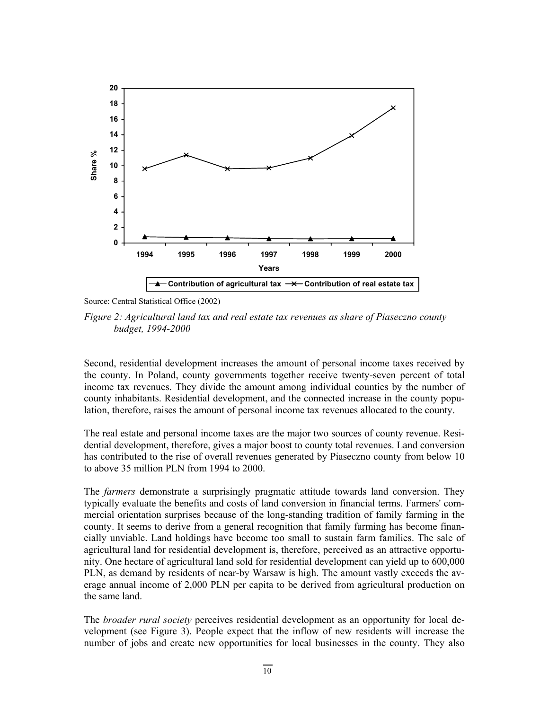

Source: Central Statistical Office (2002)

*Figure 2: Agricultural land tax and real estate tax revenues as share of Piaseczno county budget, 1994-2000* 

Second, residential development increases the amount of personal income taxes received by the county. In Poland, county governments together receive twenty-seven percent of total income tax revenues. They divide the amount among individual counties by the number of county inhabitants. Residential development, and the connected increase in the county population, therefore, raises the amount of personal income tax revenues allocated to the county.

The real estate and personal income taxes are the major two sources of county revenue. Residential development, therefore, gives a major boost to county total revenues. Land conversion has contributed to the rise of overall revenues generated by Piaseczno county from below 10 to above 35 million PLN from 1994 to 2000.

The *farmers* demonstrate a surprisingly pragmatic attitude towards land conversion. They typically evaluate the benefits and costs of land conversion in financial terms. Farmers' commercial orientation surprises because of the long-standing tradition of family farming in the county. It seems to derive from a general recognition that family farming has become financially unviable. Land holdings have become too small to sustain farm families. The sale of agricultural land for residential development is, therefore, perceived as an attractive opportunity. One hectare of agricultural land sold for residential development can yield up to 600,000 PLN, as demand by residents of near-by Warsaw is high. The amount vastly exceeds the average annual income of 2,000 PLN per capita to be derived from agricultural production on the same land.

The *broader rural society* perceives residential development as an opportunity for local development (see Figure 3). People expect that the inflow of new residents will increase the number of jobs and create new opportunities for local businesses in the county. They also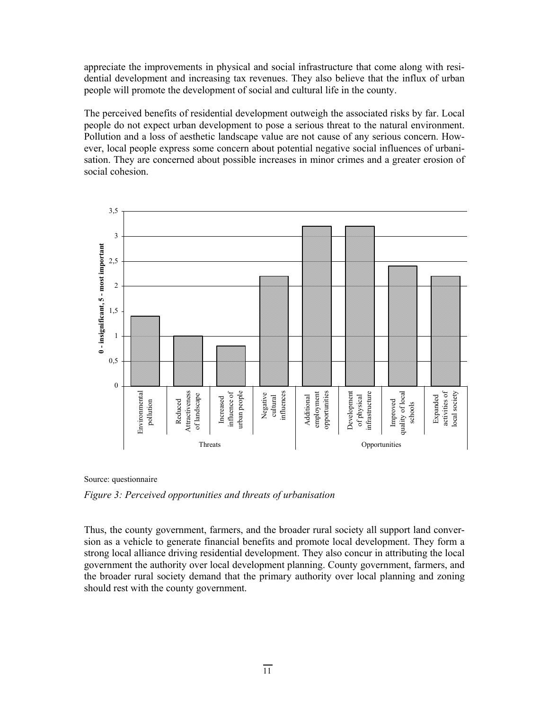appreciate the improvements in physical and social infrastructure that come along with residential development and increasing tax revenues. They also believe that the influx of urban people will promote the development of social and cultural life in the county.

The perceived benefits of residential development outweigh the associated risks by far. Local people do not expect urban development to pose a serious threat to the natural environment. Pollution and a loss of aesthetic landscape value are not cause of any serious concern. However, local people express some concern about potential negative social influences of urbanisation. They are concerned about possible increases in minor crimes and a greater erosion of social cohesion.



Source: questionnaire

*Figure 3: Perceived opportunities and threats of urbanisation* 

Thus, the county government, farmers, and the broader rural society all support land conversion as a vehicle to generate financial benefits and promote local development. They form a strong local alliance driving residential development. They also concur in attributing the local government the authority over local development planning. County government, farmers, and the broader rural society demand that the primary authority over local planning and zoning should rest with the county government.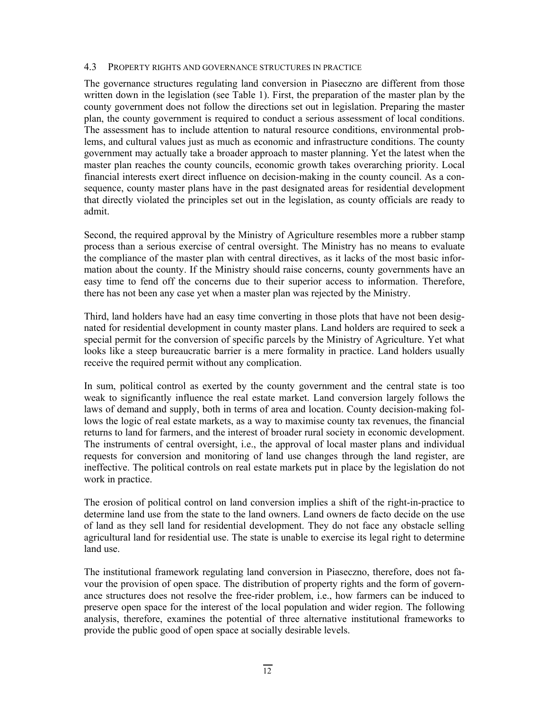#### 4.3 PROPERTY RIGHTS AND GOVERNANCE STRUCTURES IN PRACTICE

The governance structures regulating land conversion in Piaseczno are different from those written down in the legislation (see Table 1). First, the preparation of the master plan by the county government does not follow the directions set out in legislation. Preparing the master plan, the county government is required to conduct a serious assessment of local conditions. The assessment has to include attention to natural resource conditions, environmental problems, and cultural values just as much as economic and infrastructure conditions. The county government may actually take a broader approach to master planning. Yet the latest when the master plan reaches the county councils, economic growth takes overarching priority. Local financial interests exert direct influence on decision-making in the county council. As a consequence, county master plans have in the past designated areas for residential development that directly violated the principles set out in the legislation, as county officials are ready to admit.

Second, the required approval by the Ministry of Agriculture resembles more a rubber stamp process than a serious exercise of central oversight. The Ministry has no means to evaluate the compliance of the master plan with central directives, as it lacks of the most basic information about the county. If the Ministry should raise concerns, county governments have an easy time to fend off the concerns due to their superior access to information. Therefore, there has not been any case yet when a master plan was rejected by the Ministry.

Third, land holders have had an easy time converting in those plots that have not been designated for residential development in county master plans. Land holders are required to seek a special permit for the conversion of specific parcels by the Ministry of Agriculture. Yet what looks like a steep bureaucratic barrier is a mere formality in practice. Land holders usually receive the required permit without any complication.

In sum, political control as exerted by the county government and the central state is too weak to significantly influence the real estate market. Land conversion largely follows the laws of demand and supply, both in terms of area and location. County decision-making follows the logic of real estate markets, as a way to maximise county tax revenues, the financial returns to land for farmers, and the interest of broader rural society in economic development. The instruments of central oversight, i.e., the approval of local master plans and individual requests for conversion and monitoring of land use changes through the land register, are ineffective. The political controls on real estate markets put in place by the legislation do not work in practice.

The erosion of political control on land conversion implies a shift of the right-in-practice to determine land use from the state to the land owners. Land owners de facto decide on the use of land as they sell land for residential development. They do not face any obstacle selling agricultural land for residential use. The state is unable to exercise its legal right to determine land use.

The institutional framework regulating land conversion in Piaseczno, therefore, does not favour the provision of open space. The distribution of property rights and the form of governance structures does not resolve the free-rider problem, i.e., how farmers can be induced to preserve open space for the interest of the local population and wider region. The following analysis, therefore, examines the potential of three alternative institutional frameworks to provide the public good of open space at socially desirable levels.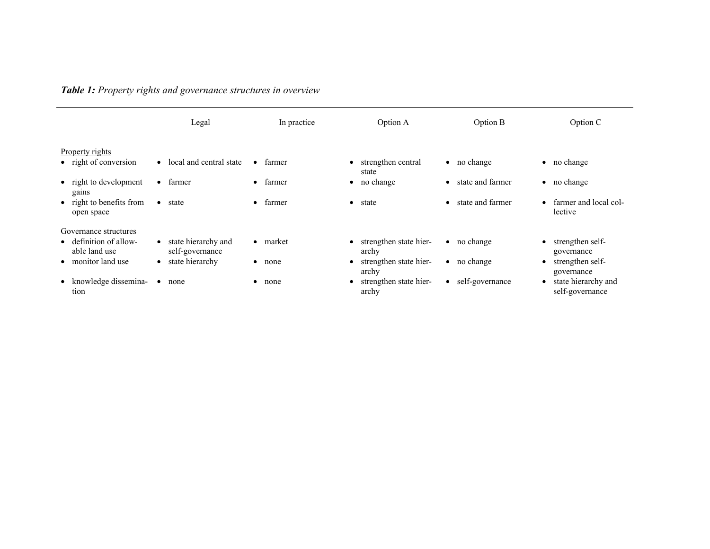*Table 1: Property rights and governance structures in overview* 

|                                                                                        | Legal                                                                               | In practice                   | Option A                                                           | Option B                                   | Option C                                                         |
|----------------------------------------------------------------------------------------|-------------------------------------------------------------------------------------|-------------------------------|--------------------------------------------------------------------|--------------------------------------------|------------------------------------------------------------------|
| Property rights<br>• right of conversion                                               | local and central state<br>$\bullet$                                                | farmer<br>$\bullet$           | strengthen central<br>state                                        | $\bullet$ no change                        | $\bullet$ no change                                              |
| • right to development                                                                 | farmer                                                                              | farmer                        | no change                                                          | state and farmer                           | $\bullet$ no change                                              |
| gains                                                                                  | $\bullet$                                                                           | $\bullet$                     | $\bullet$                                                          | $\bullet$                                  |                                                                  |
| • right to benefits from                                                               | state                                                                               | farmer                        | state                                                              | state and farmer                           | farmer and local col-                                            |
| open space                                                                             | $\bullet$                                                                           | $\bullet$                     | $\bullet$                                                          | $\bullet$                                  | lective                                                          |
| Governance structures<br>• definition of allow-<br>able land use<br>• monitor land use | state hierarchy and<br>$\bullet$<br>self-governance<br>state hierarchy<br>$\bullet$ | $\bullet$ market<br>none<br>٠ | strengthen state hier-<br>archy<br>strengthen state hier-<br>archy | $\bullet$ no change<br>$\bullet$ no change | strengthen self-<br>governance<br>strengthen self-<br>governance |
| • knowledge dissemina-                                                                 | $\bullet$                                                                           | none                          | • strengthen state hier-                                           | • self-governance                          | state hierarchy and                                              |
| tion                                                                                   | none                                                                                | ٠                             | archy                                                              |                                            | self-governance                                                  |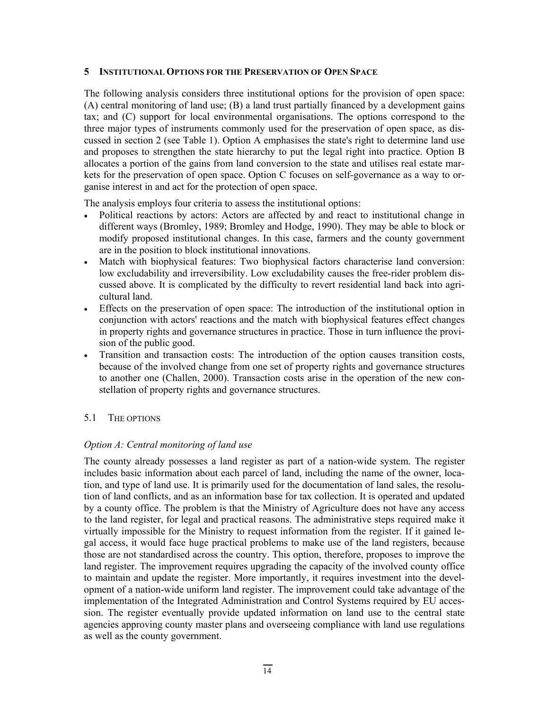#### **5 INSTITUTIONAL OPTIONS FOR THE PRESERVATION OF OPEN SPACE**

The following analysis considers three institutional options for the provision of open space: (A) central monitoring of land use; (B) a land trust partially financed by a development gains tax; and (C) support for local environmental organisations. The options correspond to the three major types of instruments commonly used for the preservation of open space, as discussed in section 2 (see Table 1). Option A emphasises the state's right to determine land use and proposes to strengthen the state hierarchy to put the legal right into practice. Option B allocates a portion of the gains from land conversion to the state and utilises real estate markets for the preservation of open space. Option C focuses on self-governance as a way to organise interest in and act for the protection of open space.

The analysis employs four criteria to assess the institutional options:

- Political reactions by actors: Actors are affected by and react to institutional change in different ways (Bromley, 1989; Bromley and Hodge, 1990). They may be able to block or modify proposed institutional changes. In this case, farmers and the county government are in the position to block institutional innovations.
- Match with biophysical features: Two biophysical factors characterise land conversion: low excludability and irreversibility. Low excludability causes the free-rider problem discussed above. It is complicated by the difficulty to revert residential land back into agricultural land.
- Effects on the preservation of open space: The introduction of the institutional option in conjunction with actors' reactions and the match with biophysical features effect changes in property rights and governance structures in practice. Those in turn influence the provision of the public good.
- Transition and transaction costs: The introduction of the option causes transition costs, because of the involved change from one set of property rights and governance structures to another one (Challen, 2000). Transaction costs arise in the operation of the new constellation of property rights and governance structures.

#### 5.1 THE OPTIONS

#### *Option A: Central monitoring of land use*

The county already possesses a land register as part of a nation-wide system. The register includes basic information about each parcel of land, including the name of the owner, location, and type of land use. It is primarily used for the documentation of land sales, the resolution of land conflicts, and as an information base for tax collection. It is operated and updated by a county office. The problem is that the Ministry of Agriculture does not have any access to the land register, for legal and practical reasons. The administrative steps required make it virtually impossible for the Ministry to request information from the register. If it gained legal access, it would face huge practical problems to make use of the land registers, because those are not standardised across the country. This option, therefore, proposes to improve the land register. The improvement requires upgrading the capacity of the involved county office to maintain and update the register. More importantly, it requires investment into the development of a nation-wide uniform land register. The improvement could take advantage of the implementation of the Integrated Administration and Control Systems required by EU accession. The register eventually provide updated information on land use to the central state agencies approving county master plans and overseeing compliance with land use regulations as well as the county government.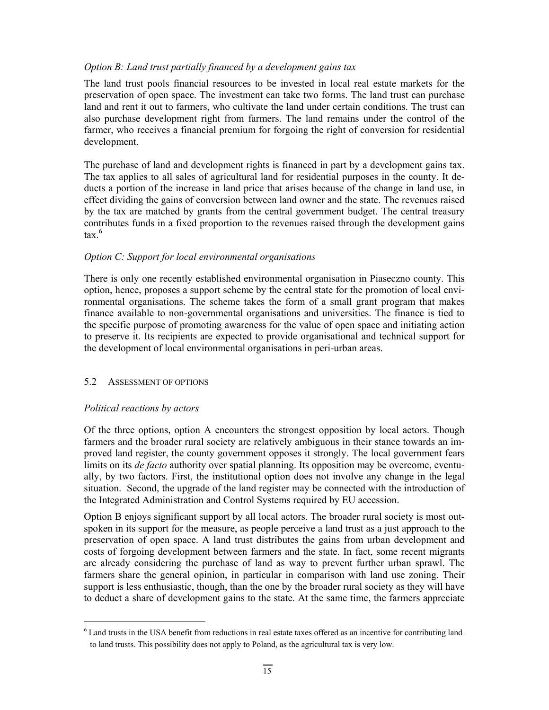# *Option B: Land trust partially financed by a development gains tax*

The land trust pools financial resources to be invested in local real estate markets for the preservation of open space. The investment can take two forms. The land trust can purchase land and rent it out to farmers, who cultivate the land under certain conditions. The trust can also purchase development right from farmers. The land remains under the control of the farmer, who receives a financial premium for forgoing the right of conversion for residential development.

The purchase of land and development rights is financed in part by a development gains tax. The tax applies to all sales of agricultural land for residential purposes in the county. It deducts a portion of the increase in land price that arises because of the change in land use, in effect dividing the gains of conversion between land owner and the state. The revenues raised by the tax are matched by grants from the central government budget. The central treasury contributes funds in a fixed proportion to the revenues raised through the development gains tax  $6$ 

# *Option C: Support for local environmental organisations*

There is only one recently established environmental organisation in Piaseczno county. This option, hence, proposes a support scheme by the central state for the promotion of local environmental organisations. The scheme takes the form of a small grant program that makes finance available to non-governmental organisations and universities. The finance is tied to the specific purpose of promoting awareness for the value of open space and initiating action to preserve it. Its recipients are expected to provide organisational and technical support for the development of local environmental organisations in peri-urban areas.

#### 5.2 ASSESSMENT OF OPTIONS

#### *Political reactions by actors*

-

Of the three options, option A encounters the strongest opposition by local actors. Though farmers and the broader rural society are relatively ambiguous in their stance towards an improved land register, the county government opposes it strongly. The local government fears limits on its *de facto* authority over spatial planning. Its opposition may be overcome, eventually, by two factors. First, the institutional option does not involve any change in the legal situation. Second, the upgrade of the land register may be connected with the introduction of the Integrated Administration and Control Systems required by EU accession.

Option B enjoys significant support by all local actors. The broader rural society is most outspoken in its support for the measure, as people perceive a land trust as a just approach to the preservation of open space. A land trust distributes the gains from urban development and costs of forgoing development between farmers and the state. In fact, some recent migrants are already considering the purchase of land as way to prevent further urban sprawl. The farmers share the general opinion, in particular in comparison with land use zoning. Their support is less enthusiastic, though, than the one by the broader rural society as they will have to deduct a share of development gains to the state. At the same time, the farmers appreciate

<sup>&</sup>lt;sup>6</sup> Land trusts in the USA benefit from reductions in real estate taxes offered as an incentive for contributing land to land trusts. This possibility does not apply to Poland, as the agricultural tax is very low.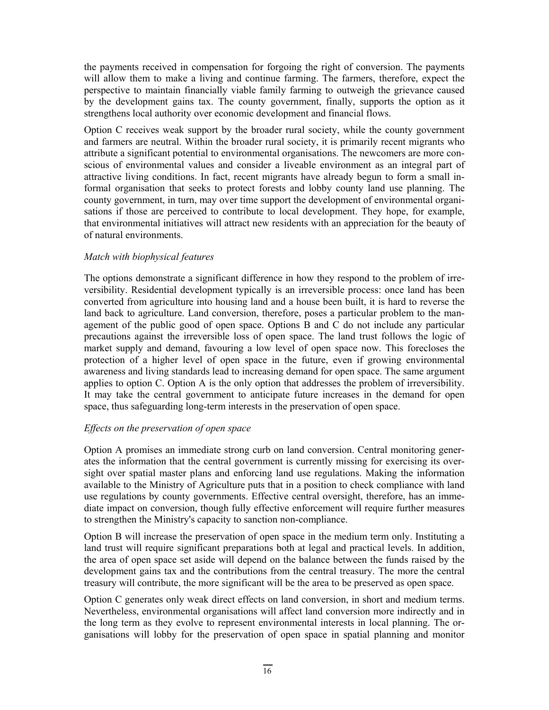the payments received in compensation for forgoing the right of conversion. The payments will allow them to make a living and continue farming. The farmers, therefore, expect the perspective to maintain financially viable family farming to outweigh the grievance caused by the development gains tax. The county government, finally, supports the option as it strengthens local authority over economic development and financial flows.

Option C receives weak support by the broader rural society, while the county government and farmers are neutral. Within the broader rural society, it is primarily recent migrants who attribute a significant potential to environmental organisations. The newcomers are more conscious of environmental values and consider a liveable environment as an integral part of attractive living conditions. In fact, recent migrants have already begun to form a small informal organisation that seeks to protect forests and lobby county land use planning. The county government, in turn, may over time support the development of environmental organisations if those are perceived to contribute to local development. They hope, for example, that environmental initiatives will attract new residents with an appreciation for the beauty of of natural environments.

# *Match with biophysical features*

The options demonstrate a significant difference in how they respond to the problem of irreversibility. Residential development typically is an irreversible process: once land has been converted from agriculture into housing land and a house been built, it is hard to reverse the land back to agriculture. Land conversion, therefore, poses a particular problem to the management of the public good of open space. Options B and C do not include any particular precautions against the irreversible loss of open space. The land trust follows the logic of market supply and demand, favouring a low level of open space now. This forecloses the protection of a higher level of open space in the future, even if growing environmental awareness and living standards lead to increasing demand for open space. The same argument applies to option C. Option A is the only option that addresses the problem of irreversibility. It may take the central government to anticipate future increases in the demand for open space, thus safeguarding long-term interests in the preservation of open space.

# *Effects on the preservation of open space*

Option A promises an immediate strong curb on land conversion. Central monitoring generates the information that the central government is currently missing for exercising its oversight over spatial master plans and enforcing land use regulations. Making the information available to the Ministry of Agriculture puts that in a position to check compliance with land use regulations by county governments. Effective central oversight, therefore, has an immediate impact on conversion, though fully effective enforcement will require further measures to strengthen the Ministry's capacity to sanction non-compliance.

Option B will increase the preservation of open space in the medium term only. Instituting a land trust will require significant preparations both at legal and practical levels. In addition, the area of open space set aside will depend on the balance between the funds raised by the development gains tax and the contributions from the central treasury. The more the central treasury will contribute, the more significant will be the area to be preserved as open space.

Option C generates only weak direct effects on land conversion, in short and medium terms. Nevertheless, environmental organisations will affect land conversion more indirectly and in the long term as they evolve to represent environmental interests in local planning. The organisations will lobby for the preservation of open space in spatial planning and monitor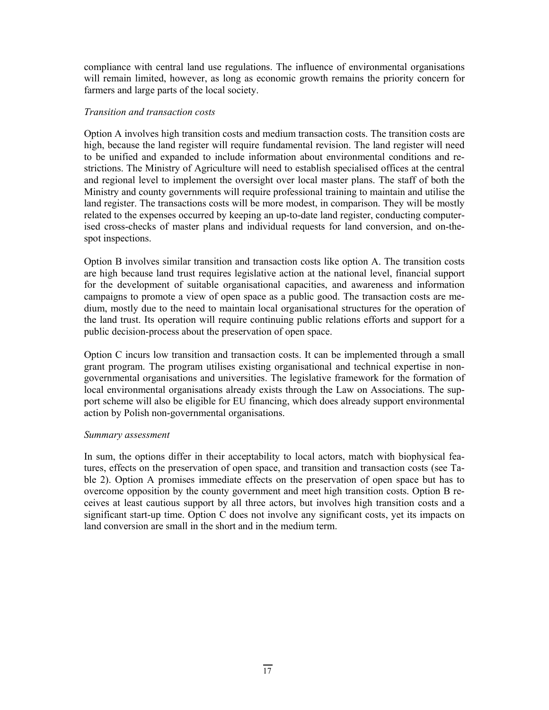compliance with central land use regulations. The influence of environmental organisations will remain limited, however, as long as economic growth remains the priority concern for farmers and large parts of the local society.

# *Transition and transaction costs*

Option A involves high transition costs and medium transaction costs. The transition costs are high, because the land register will require fundamental revision. The land register will need to be unified and expanded to include information about environmental conditions and restrictions. The Ministry of Agriculture will need to establish specialised offices at the central and regional level to implement the oversight over local master plans. The staff of both the Ministry and county governments will require professional training to maintain and utilise the land register. The transactions costs will be more modest, in comparison. They will be mostly related to the expenses occurred by keeping an up-to-date land register, conducting computerised cross-checks of master plans and individual requests for land conversion, and on-thespot inspections.

Option B involves similar transition and transaction costs like option A. The transition costs are high because land trust requires legislative action at the national level, financial support for the development of suitable organisational capacities, and awareness and information campaigns to promote a view of open space as a public good. The transaction costs are medium, mostly due to the need to maintain local organisational structures for the operation of the land trust. Its operation will require continuing public relations efforts and support for a public decision-process about the preservation of open space.

Option C incurs low transition and transaction costs. It can be implemented through a small grant program. The program utilises existing organisational and technical expertise in nongovernmental organisations and universities. The legislative framework for the formation of local environmental organisations already exists through the Law on Associations. The support scheme will also be eligible for EU financing, which does already support environmental action by Polish non-governmental organisations.

#### *Summary assessment*

In sum, the options differ in their acceptability to local actors, match with biophysical features, effects on the preservation of open space, and transition and transaction costs (see Table 2). Option A promises immediate effects on the preservation of open space but has to overcome opposition by the county government and meet high transition costs. Option B receives at least cautious support by all three actors, but involves high transition costs and a significant start-up time. Option C does not involve any significant costs, yet its impacts on land conversion are small in the short and in the medium term.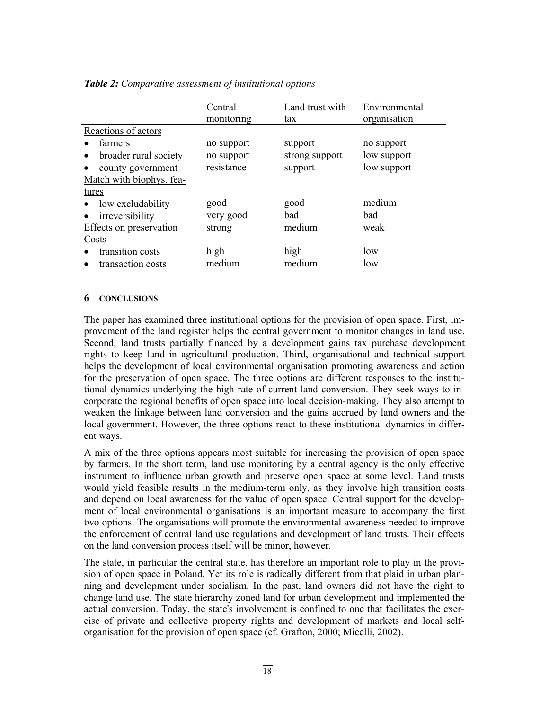|                                    | Central    | Land trust with | Environmental |
|------------------------------------|------------|-----------------|---------------|
|                                    | monitoring | tax             | organisation  |
| Reactions of actors                |            |                 |               |
| farmers                            | no support | support         | no support    |
| broader rural society<br>$\bullet$ | no support | strong support  | low support   |
| county government                  | resistance | support         | low support   |
| Match with biophys. fea-           |            |                 |               |
| tures                              |            |                 |               |
| low excludability<br>$\bullet$     | good       | good            | medium        |
| irreversibility<br>$\bullet$       | very good  | bad             | bad           |
| Effects on preservation            | strong     | medium          | weak          |
| Costs                              |            |                 |               |
| transition costs                   | high       | high            | low           |
| transaction costs                  | medium     | medium          | low           |

#### *Table 2: Comparative assessment of institutional options*

#### **6 CONCLUSIONS**

The paper has examined three institutional options for the provision of open space. First, improvement of the land register helps the central government to monitor changes in land use. Second, land trusts partially financed by a development gains tax purchase development rights to keep land in agricultural production. Third, organisational and technical support helps the development of local environmental organisation promoting awareness and action for the preservation of open space. The three options are different responses to the institutional dynamics underlying the high rate of current land conversion. They seek ways to incorporate the regional benefits of open space into local decision-making. They also attempt to weaken the linkage between land conversion and the gains accrued by land owners and the local government. However, the three options react to these institutional dynamics in different ways.

A mix of the three options appears most suitable for increasing the provision of open space by farmers. In the short term, land use monitoring by a central agency is the only effective instrument to influence urban growth and preserve open space at some level. Land trusts would yield feasible results in the medium-term only, as they involve high transition costs and depend on local awareness for the value of open space. Central support for the development of local environmental organisations is an important measure to accompany the first two options. The organisations will promote the environmental awareness needed to improve the enforcement of central land use regulations and development of land trusts. Their effects on the land conversion process itself will be minor, however.

The state, in particular the central state, has therefore an important role to play in the provision of open space in Poland. Yet its role is radically different from that plaid in urban planning and development under socialism. In the past, land owners did not have the right to change land use. The state hierarchy zoned land for urban development and implemented the actual conversion. Today, the state's involvement is confined to one that facilitates the exercise of private and collective property rights and development of markets and local selforganisation for the provision of open space (cf. Grafton, 2000; Micelli, 2002).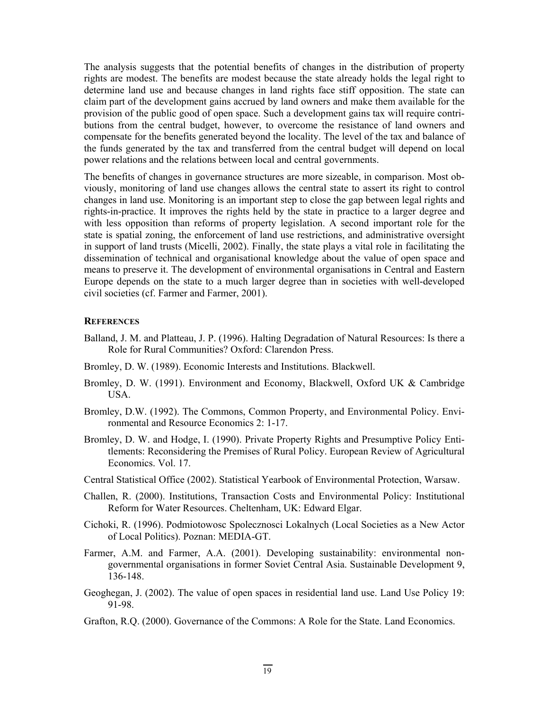The analysis suggests that the potential benefits of changes in the distribution of property rights are modest. The benefits are modest because the state already holds the legal right to determine land use and because changes in land rights face stiff opposition. The state can claim part of the development gains accrued by land owners and make them available for the provision of the public good of open space. Such a development gains tax will require contributions from the central budget, however, to overcome the resistance of land owners and compensate for the benefits generated beyond the locality. The level of the tax and balance of the funds generated by the tax and transferred from the central budget will depend on local power relations and the relations between local and central governments.

The benefits of changes in governance structures are more sizeable, in comparison. Most obviously, monitoring of land use changes allows the central state to assert its right to control changes in land use. Monitoring is an important step to close the gap between legal rights and rights-in-practice. It improves the rights held by the state in practice to a larger degree and with less opposition than reforms of property legislation. A second important role for the state is spatial zoning, the enforcement of land use restrictions, and administrative oversight in support of land trusts (Micelli, 2002). Finally, the state plays a vital role in facilitating the dissemination of technical and organisational knowledge about the value of open space and means to preserve it. The development of environmental organisations in Central and Eastern Europe depends on the state to a much larger degree than in societies with well-developed civil societies (cf. Farmer and Farmer, 2001).

#### **REFERENCES**

- Balland, J. M. and Platteau, J. P. (1996). Halting Degradation of Natural Resources: Is there a Role for Rural Communities? Oxford: Clarendon Press.
- Bromley, D. W. (1989). Economic Interests and Institutions. Blackwell.
- Bromley, D. W. (1991). Environment and Economy, Blackwell, Oxford UK & Cambridge USA.
- Bromley, D.W. (1992). The Commons, Common Property, and Environmental Policy. Environmental and Resource Economics 2: 1-17.
- Bromley, D. W. and Hodge, I. (1990). Private Property Rights and Presumptive Policy Entitlements: Reconsidering the Premises of Rural Policy. European Review of Agricultural Economics. Vol. 17.
- Central Statistical Office (2002). Statistical Yearbook of Environmental Protection, Warsaw.
- Challen, R. (2000). Institutions, Transaction Costs and Environmental Policy: Institutional Reform for Water Resources. Cheltenham, UK: Edward Elgar.
- Cichoki, R. (1996). Podmiotowosc Spolecznosci Lokalnych (Local Societies as a New Actor of Local Politics). Poznan: MEDIA-GT.
- Farmer, A.M. and Farmer, A.A. (2001). Developing sustainability: environmental nongovernmental organisations in former Soviet Central Asia. Sustainable Development 9, 136-148.
- Geoghegan, J. (2002). The value of open spaces in residential land use. Land Use Policy 19: 91-98.
- Grafton, R.Q. (2000). Governance of the Commons: A Role for the State. Land Economics.